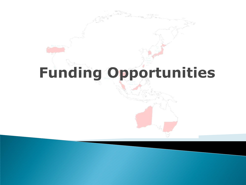# **Funding Opportunities**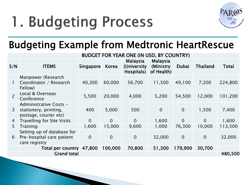## 1. Budgeting Process



### Budgeting Example from Medtronic HeartRescue

|                |                                                                          | <b>BUDGET FOR YEAR ONE (IN USD, BY COUNTRY)</b> |                |                                        |                                             |                |                 |              |
|----------------|--------------------------------------------------------------------------|-------------------------------------------------|----------------|----------------------------------------|---------------------------------------------|----------------|-----------------|--------------|
| S/N            | <b>ITEMS</b>                                                             | Singapore                                       | Korea          | Malaysia<br>(University)<br>Hospitals) | <b>Malaysia</b><br>(Ministry)<br>of Health) | Dubai          | <b>Thailand</b> | <b>Total</b> |
|                | Manpower (Research<br>Coordinator / Research<br>Fellow)                  | 40,300                                          | 60,000         | 56,700                                 | 11,500                                      | 49,100         | 7,200           | 224,800      |
| $\overline{2}$ | Local & Overseas<br>Conference                                           | 5,500                                           | 20,000         | 4,000                                  | 5,200                                       | 54,500         | 12,000          | 101,200      |
| 3              | Administrative Costs -<br>stationery, printing,<br>postage, courier etc) | 400                                             | 5,000          | 500                                    | $\overline{0}$                              | $\overline{0}$ | 1,500           | 7,400        |
| 4              | <b>Travelling for Site Visits</b>                                        | $\overline{0}$                                  | $\overline{0}$ | $\Omega$                               | 1,600                                       | $\overline{0}$ | $\overline{0}$  | 1,600        |
| 5              | Training                                                                 | 1,600                                           | 15,000         | 9,600                                  | 1,000                                       | 76,300         | 10,000          | 113,500      |
| 6              | Setting up of database for<br>Pre-hospital care patient<br>care registry | $\overline{0}$                                  | $\overline{0}$ | $\overline{0}$                         | 32,000                                      | $\overline{0}$ | $\overline{0}$  | 32,000       |
|                | Total per country                                                        | 47,800                                          | 100,000        | 70,800                                 | 51,300                                      | 179,900        | 30,700          |              |
|                | <b>Grand total</b>                                                       |                                                 |                |                                        |                                             |                |                 | 480,500      |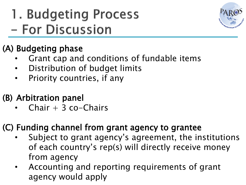## 1. Budgeting Process - For Discussion



### (A) Budgeting phase

- Grant cap and conditions of fundable items
- Distribution of budget limits
- Priority countries, if any

### (B) Arbitration panel

Chair  $+$  3 co-Chairs

### (C) Funding channel from grant agency to grantee

- Subject to grant agency's agreement, the institutions of each country's rep(s) will directly receive money from agency
- Accounting and reporting requirements of grant agency would apply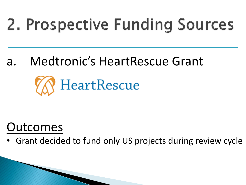## 2. Prospective Funding Sources

a. Medtronic's HeartRescue Grant



## Outcomes

• Grant decided to fund only US projects during review cycle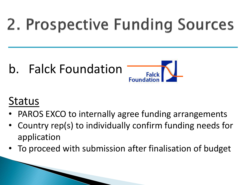## 2. Prospective Funding Sources

b. Falck Foundation



## Status

- PAROS EXCO to internally agree funding arrangements
- Country rep(s) to individually confirm funding needs for application
- To proceed with submission after finalisation of budget